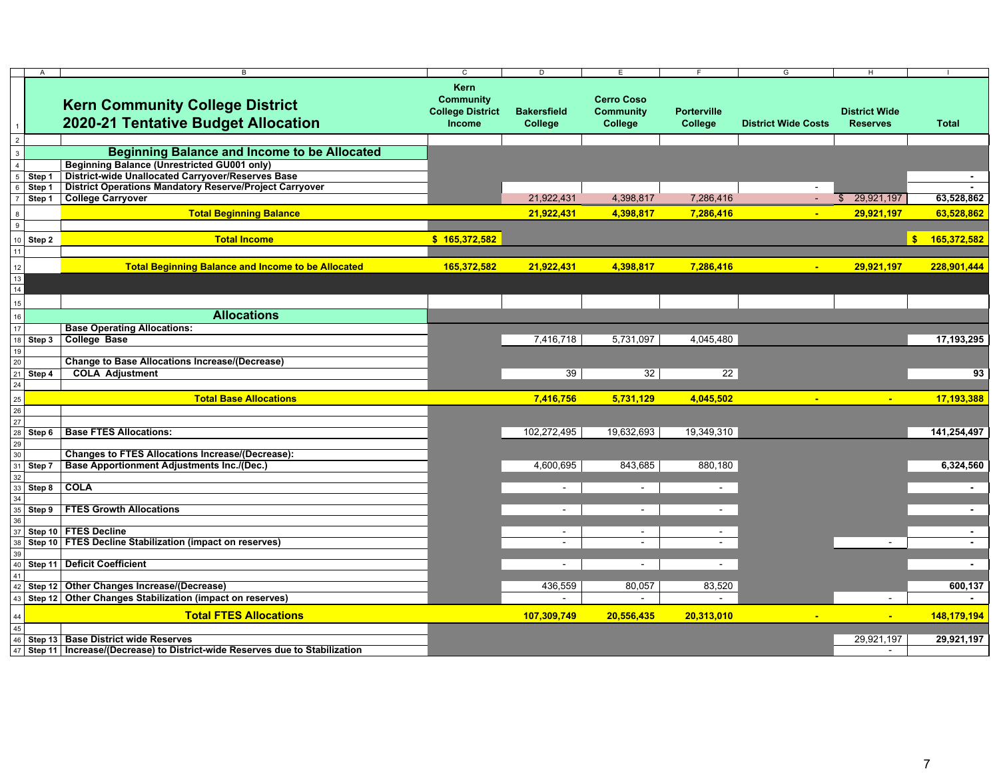|                 | $\overline{A}$ | B                                                                                                     | C                                                                    | Þ                             | E                                                |                               | G                          | H                                       |                |
|-----------------|----------------|-------------------------------------------------------------------------------------------------------|----------------------------------------------------------------------|-------------------------------|--------------------------------------------------|-------------------------------|----------------------------|-----------------------------------------|----------------|
|                 |                | <b>Kern Community College District</b><br>2020-21 Tentative Budget Allocation                         | <b>Kern</b><br><b>Community</b><br><b>College District</b><br>Income | <b>Bakersfield</b><br>College | <b>Cerro Coso</b><br><b>Community</b><br>College | <b>Porterville</b><br>College | <b>District Wide Costs</b> | <b>District Wide</b><br><b>Reserves</b> | <b>Total</b>   |
| 2               |                |                                                                                                       |                                                                      |                               |                                                  |                               |                            |                                         |                |
| $\overline{3}$  |                | <b>Beginning Balance and Income to be Allocated</b>                                                   |                                                                      |                               |                                                  |                               |                            |                                         |                |
|                 |                | <b>Beginning Balance (Unrestricted GU001 only)</b>                                                    |                                                                      |                               |                                                  |                               |                            |                                         |                |
|                 | Step 1         | <b>District-wide Unallocated Carryover/Reserves Base</b>                                              |                                                                      |                               |                                                  |                               |                            |                                         |                |
|                 | Step 1         | District Operations Mandatory Reserve/Project Carryover                                               |                                                                      |                               |                                                  |                               |                            |                                         |                |
|                 | Step 1         | <b>College Carryover</b>                                                                              |                                                                      | 21,922,431                    | 4,398,817                                        | 7,286,416                     |                            | 29,921,197<br>\$                        | 63,528,862     |
|                 |                | <b>Total Beginning Balance</b>                                                                        |                                                                      | 21,922,431                    | 4,398,817                                        | 7,286,416                     | ÷                          | 29,921,197                              | 63,528,862     |
| 9               |                |                                                                                                       |                                                                      |                               |                                                  |                               |                            |                                         |                |
| 10 <sup>1</sup> | Step 2         | <b>Total Income</b>                                                                                   | \$165,372,582                                                        |                               |                                                  |                               |                            |                                         | \$ 165,372,582 |
| 11              |                |                                                                                                       |                                                                      |                               |                                                  |                               |                            |                                         |                |
| 12              |                | <b>Total Beginning Balance and Income to be Allocated</b>                                             | 165,372,582                                                          | 21,922,431                    | 4,398,817                                        | 7,286,416                     | $\blacksquare$             | 29,921,197                              | 228,901,444    |
| 13              |                |                                                                                                       |                                                                      |                               |                                                  |                               |                            |                                         |                |
| 14              |                |                                                                                                       |                                                                      |                               |                                                  |                               |                            |                                         |                |
| 15              |                |                                                                                                       |                                                                      |                               |                                                  |                               |                            |                                         |                |
| 16              |                | <b>Allocations</b>                                                                                    |                                                                      |                               |                                                  |                               |                            |                                         |                |
| 17              |                | <b>Base Operating Allocations:</b>                                                                    |                                                                      |                               |                                                  |                               |                            |                                         |                |
|                 | Step 3         | <b>College Base</b>                                                                                   |                                                                      | 7,416,718                     | 5,731,097                                        | 4,045,480                     |                            |                                         | 17,193,295     |
| 19              |                |                                                                                                       |                                                                      |                               |                                                  |                               |                            |                                         |                |
| 20              |                | <b>Change to Base Allocations Increase/(Decrease)</b>                                                 |                                                                      |                               |                                                  |                               |                            |                                         |                |
| 21              | Step 4         | <b>COLA Adjustment</b>                                                                                |                                                                      | 39                            | 32                                               | $\overline{22}$               |                            |                                         | 93             |
| 24              |                |                                                                                                       |                                                                      |                               |                                                  |                               |                            |                                         |                |
| $25\,$          |                | <b>Total Base Allocations</b>                                                                         |                                                                      | 7,416,756                     | 5,731,129                                        | 4,045,502                     | $\blacksquare$             | $\blacksquare$                          | 17,193,388     |
| 26              |                |                                                                                                       |                                                                      |                               |                                                  |                               |                            |                                         |                |
| 27              |                |                                                                                                       |                                                                      |                               |                                                  |                               |                            |                                         |                |
|                 | Step 6         | <b>Base FTES Allocations:</b>                                                                         |                                                                      | 102,272,495                   | 19,632,693                                       | 19,349,310                    |                            |                                         | 141,254,497    |
| 29              |                |                                                                                                       |                                                                      |                               |                                                  |                               |                            |                                         |                |
|                 | Step 7         | <b>Changes to FTES Allocations Increase/(Decrease):</b><br>Base Apportionment Adjustments Inc./(Dec.) |                                                                      | 4,600,695                     | 843,685                                          | 880,180                       |                            |                                         | 6,324,560      |
|                 |                |                                                                                                       |                                                                      |                               |                                                  |                               |                            |                                         |                |
|                 | Step 8         | <b>COLA</b>                                                                                           |                                                                      | $\sim$                        | $\sim$                                           | $\sim$                        |                            |                                         | $\sim$         |
|                 |                |                                                                                                       |                                                                      |                               |                                                  |                               |                            |                                         |                |
|                 | Step 9         | <b>FTES Growth Allocations</b>                                                                        |                                                                      | $\sim$                        | $\sim$                                           | $\sim$                        |                            |                                         | $\sim$         |
|                 |                |                                                                                                       |                                                                      |                               |                                                  |                               |                            |                                         |                |
|                 |                | Step 10 FTES Decline                                                                                  |                                                                      | $\sim$                        | $\sim$                                           | $\sim$                        |                            |                                         | $\sim$         |
|                 |                | Step 10 FTES Decline Stabilization (impact on reserves)                                               |                                                                      | $\sim$                        | $\sim$                                           | $\sim$                        |                            |                                         | $\sim$         |
|                 |                | Step 11 Deficit Coefficient                                                                           |                                                                      | $\sim$                        | $\sim$                                           | $\sim$                        |                            |                                         | $\blacksquare$ |
| 41              |                |                                                                                                       |                                                                      |                               |                                                  |                               |                            |                                         |                |
|                 |                | Step 12 Other Changes Increase/(Decrease)                                                             |                                                                      | 436,559                       | 80,057                                           | 83,520                        |                            |                                         | 600,137        |
|                 |                | Step 12 Other Changes Stabilization (impact on reserves)                                              |                                                                      | $\sim$                        | $\sim$                                           |                               |                            | $\sim$                                  | $\sim$         |
|                 |                |                                                                                                       |                                                                      |                               |                                                  |                               |                            |                                         |                |
|                 |                | <b>Total FTES Allocations</b>                                                                         |                                                                      | 107,309,749                   | 20,556,435                                       | 20,313,010                    |                            | ÷                                       | 148,179,194    |
|                 |                |                                                                                                       |                                                                      |                               |                                                  |                               |                            |                                         |                |
|                 |                | Step 13 Base District wide Reserves                                                                   |                                                                      |                               |                                                  |                               |                            | 29,921,197                              | 29,921,197     |
| 47              |                | Step 11 Increase/(Decrease) to District-wide Reserves due to Stabilization                            |                                                                      |                               |                                                  |                               |                            | $\sim$                                  |                |